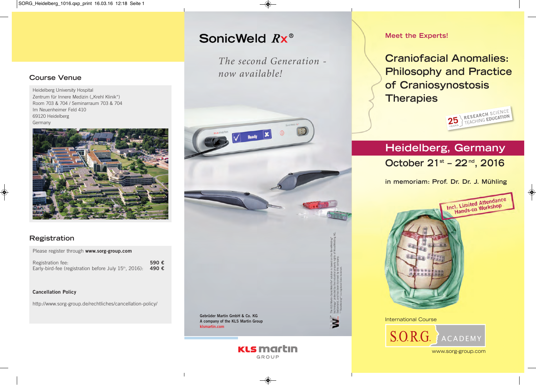# SonicWeld Rx<sup>®</sup>

*The second Generation now available!*



#### **Meet the Experts!**

**Craniofacial Anomalies: Philosophy and Practice of Craniosynostosis Therapies**



# **Heidelberg, Germany October 21st – 22 nd, 2016**

**in memoriam: Prof. Dr. Dr. J. Mühling**



International Course



#### **Course Venue**

Heidelberg University Hospital Zentrum für Innere Medizin ("Krehl Klinik") Room 703 & 704 / Seminarraum 703 & 704 Im Neuenheimer Feld 410 69120 Heidelberg Germany



### **Registration**

Please register through **www.sorg-group.com**

Registration fee: **590 €** Early-bird-fee (registration before July 15<sup>th</sup>, 2016): 490 €

#### **Cancellation Policy**

http://www.sorg-group.de/rechtliches/cancellation-policy/

**KLS martin** GROUP

www.sorg-group.com